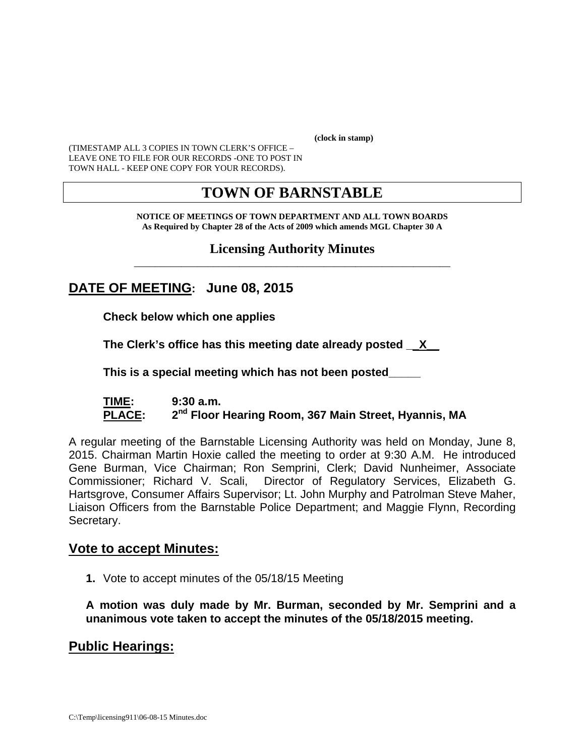**(clock in stamp)** 

(TIMESTAMP ALL 3 COPIES IN TOWN CLERK'S OFFICE – LEAVE ONE TO FILE FOR OUR RECORDS -ONE TO POST IN TOWN HALL - KEEP ONE COPY FOR YOUR RECORDS).

# **TOWN OF BARNSTABLE**

**NOTICE OF MEETINGS OF TOWN DEPARTMENT AND ALL TOWN BOARDS As Required by Chapter 28 of the Acts of 2009 which amends MGL Chapter 30 A** 

#### **Licensing Authority Minutes** \_\_\_\_\_\_\_\_\_\_\_\_\_\_\_\_\_\_\_\_\_\_\_\_\_\_\_\_\_\_\_\_\_\_\_\_\_\_\_\_\_\_\_\_\_\_\_\_\_\_\_\_\_\_\_\_\_\_\_\_

# **DATE OF MEETING: June 08, 2015**

**Check below which one applies** 

**The Clerk's office has this meeting date already posted \_\_X\_\_** 

 **This is a special meeting which has not been posted\_\_\_\_\_** 

#### **TIME: 9:30 a.m.**  PLACE: 2<sup>nd</sup> Floor Hearing Room, 367 Main Street, Hyannis, MA

A regular meeting of the Barnstable Licensing Authority was held on Monday, June 8, 2015. Chairman Martin Hoxie called the meeting to order at 9:30 A.M. He introduced Gene Burman, Vice Chairman; Ron Semprini, Clerk; David Nunheimer, Associate Commissioner; Richard V. Scali, Director of Regulatory Services, Elizabeth G. Hartsgrove, Consumer Affairs Supervisor; Lt. John Murphy and Patrolman Steve Maher, Liaison Officers from the Barnstable Police Department; and Maggie Flynn, Recording Secretary.

### **Vote to accept Minutes:**

**1.** Vote to accept minutes of the 05/18/15 Meeting

**A motion was duly made by Mr. Burman, seconded by Mr. Semprini and a unanimous vote taken to accept the minutes of the 05/18/2015 meeting.** 

## **Public Hearings:**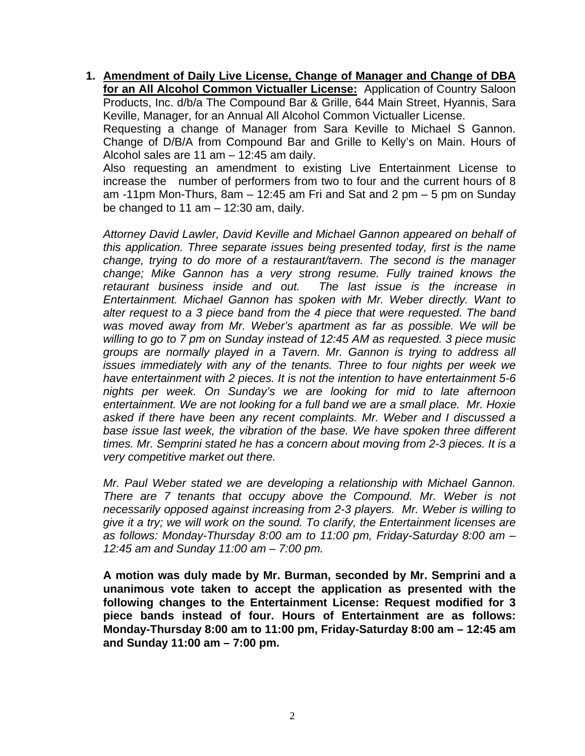**1. Amendment of Daily Live License, Change of Manager and Change of DBA for an All Alcohol Common Victualler License:** Application of Country Saloon Products, Inc. d/b/a The Compound Bar & Grille, 644 Main Street, Hyannis, Sara Keville, Manager, for an Annual All Alcohol Common Victualler License. Requesting a change of Manager from Sara Keville to Michael S Gannon. Change of D/B/A from Compound Bar and Grille to Kelly's on Main. Hours of Alcohol sales are 11 am – 12:45 am daily.

Also requesting an amendment to existing Live Entertainment License to increase the number of performers from two to four and the current hours of 8 am -11pm Mon-Thurs, 8am – 12:45 am Fri and Sat and 2 pm – 5 pm on Sunday be changed to 11 am  $-$  12:30 am, daily.

*Attorney David Lawler, David Keville and Michael Gannon appeared on behalf of this application. Three separate issues being presented today, first is the name change, trying to do more of a restaurant/tavern. The second is the manager change; Mike Gannon has a very strong resume. Fully trained knows the retaurant business inside and out. The last issue is the increase in Entertainment. Michael Gannon has spoken with Mr. Weber directly. Want to alter request to a 3 piece band from the 4 piece that were requested. The band was moved away from Mr. Weber's apartment as far as possible. We will be willing to go to 7 pm on Sunday instead of 12:45 AM as requested. 3 piece music groups are normally played in a Tavern. Mr. Gannon is trying to address all issues immediately with any of the tenants. Three to four nights per week we have entertainment with 2 pieces. It is not the intention to have entertainment 5-6 nights per week. On Sunday's we are looking for mid to late afternoon entertainment. We are not looking for a full band we are a small place. Mr. Hoxie asked if there have been any recent complaints. Mr. Weber and I discussed a base issue last week, the vibration of the base. We have spoken three different times. Mr. Semprini stated he has a concern about moving from 2-3 pieces. It is a very competitive market out there.* 

*Mr. Paul Weber stated we are developing a relationship with Michael Gannon. There are 7 tenants that occupy above the Compound. Mr. Weber is not necessarily opposed against increasing from 2-3 players. Mr. Weber is willing to give it a try; we will work on the sound. To clarify, the Entertainment licenses are as follows: Monday-Thursday 8:00 am to 11:00 pm, Friday-Saturday 8:00 am – 12:45 am and Sunday 11:00 am – 7:00 pm.* 

**A motion was duly made by Mr. Burman, seconded by Mr. Semprini and a unanimous vote taken to accept the application as presented with the following changes to the Entertainment License: Request modified for 3 piece bands instead of four. Hours of Entertainment are as follows: Monday-Thursday 8:00 am to 11:00 pm, Friday-Saturday 8:00 am – 12:45 am and Sunday 11:00 am – 7:00 pm.**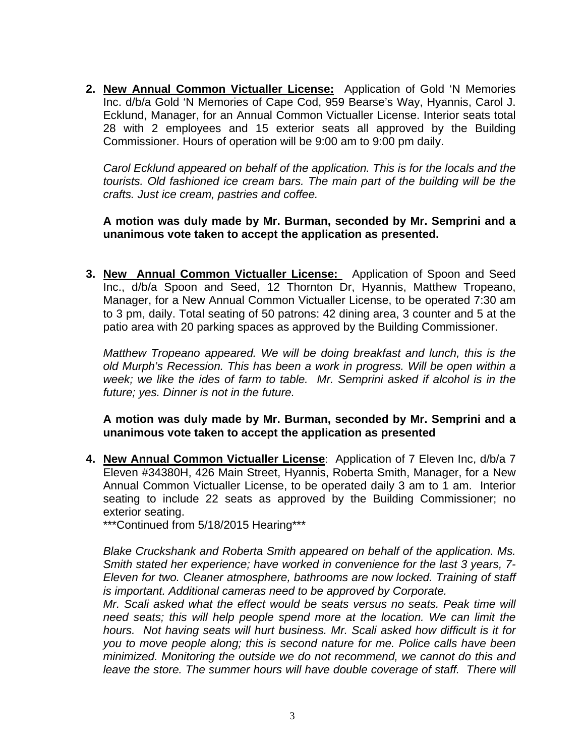**2. New Annual Common Victualler License:** Application of Gold 'N Memories Inc. d/b/a Gold 'N Memories of Cape Cod, 959 Bearse's Way, Hyannis, Carol J. Ecklund, Manager, for an Annual Common Victualler License. Interior seats total 28 with 2 employees and 15 exterior seats all approved by the Building Commissioner. Hours of operation will be 9:00 am to 9:00 pm daily.

*Carol Ecklund appeared on behalf of the application. This is for the locals and the tourists. Old fashioned ice cream bars. The main part of the building will be the crafts. Just ice cream, pastries and coffee.* 

**A motion was duly made by Mr. Burman, seconded by Mr. Semprini and a unanimous vote taken to accept the application as presented.** 

**3. New Annual Common Victualler License:** Application of Spoon and Seed Inc., d/b/a Spoon and Seed, 12 Thornton Dr, Hyannis, Matthew Tropeano, Manager, for a New Annual Common Victualler License, to be operated 7:30 am to 3 pm, daily. Total seating of 50 patrons: 42 dining area, 3 counter and 5 at the patio area with 20 parking spaces as approved by the Building Commissioner.

*Matthew Tropeano appeared. We will be doing breakfast and lunch, this is the old Murph's Recession. This has been a work in progress. Will be open within a week; we like the ides of farm to table. Mr. Semprini asked if alcohol is in the future; yes. Dinner is not in the future.* 

**A motion was duly made by Mr. Burman, seconded by Mr. Semprini and a unanimous vote taken to accept the application as presented**

**4. New Annual Common Victualler License**: Application of 7 Eleven Inc, d/b/a 7 Eleven #34380H, 426 Main Street, Hyannis, Roberta Smith, Manager, for a New Annual Common Victualler License, to be operated daily 3 am to 1 am. Interior seating to include 22 seats as approved by the Building Commissioner; no exterior seating.

\*\*\*Continued from 5/18/2015 Hearing\*\*\*

*Blake Cruckshank and Roberta Smith appeared on behalf of the application. Ms. Smith stated her experience; have worked in convenience for the last 3 years, 7- Eleven for two. Cleaner atmosphere, bathrooms are now locked. Training of staff is important. Additional cameras need to be approved by Corporate.* 

*Mr. Scali asked what the effect would be seats versus no seats. Peak time will need seats; this will help people spend more at the location. We can limit the hours. Not having seats will hurt business. Mr. Scali asked how difficult is it for you to move people along; this is second nature for me. Police calls have been minimized. Monitoring the outside we do not recommend, we cannot do this and*  leave the store. The summer hours will have double coverage of staff. There will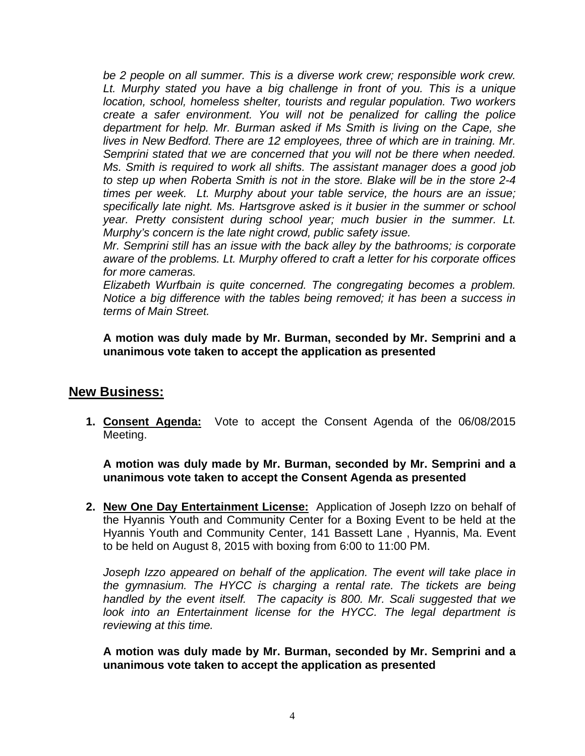*be 2 people on all summer. This is a diverse work crew; responsible work crew. Lt. Murphy stated you have a big challenge in front of you. This is a unique location, school, homeless shelter, tourists and regular population. Two workers create a safer environment. You will not be penalized for calling the police department for help. Mr. Burman asked if Ms Smith is living on the Cape, she lives in New Bedford. There are 12 employees, three of which are in training. Mr. Semprini stated that we are concerned that you will not be there when needed. Ms. Smith is required to work all shifts. The assistant manager does a good job to step up when Roberta Smith is not in the store. Blake will be in the store 2-4 times per week. Lt. Murphy about your table service, the hours are an issue; specifically late night. Ms. Hartsgrove asked is it busier in the summer or school year. Pretty consistent during school year; much busier in the summer. Lt. Murphy's concern is the late night crowd, public safety issue.* 

*Mr. Semprini still has an issue with the back alley by the bathrooms; is corporate aware of the problems. Lt. Murphy offered to craft a letter for his corporate offices for more cameras.* 

*Elizabeth Wurfbain is quite concerned. The congregating becomes a problem. Notice a big difference with the tables being removed; it has been a success in terms of Main Street.* 

#### **A motion was duly made by Mr. Burman, seconded by Mr. Semprini and a unanimous vote taken to accept the application as presented**

### **New Business:**

**1. Consent Agenda:** Vote to accept the Consent Agenda of the 06/08/2015 Meeting.

**A motion was duly made by Mr. Burman, seconded by Mr. Semprini and a unanimous vote taken to accept the Consent Agenda as presented**

**2. New One Day Entertainment License:** Application of Joseph Izzo on behalf of the Hyannis Youth and Community Center for a Boxing Event to be held at the Hyannis Youth and Community Center, 141 Bassett Lane , Hyannis, Ma. Event to be held on August 8, 2015 with boxing from 6:00 to 11:00 PM.

Joseph Izzo appeared on behalf of the application. The event will take place in *the gymnasium. The HYCC is charging a rental rate. The tickets are being handled by the event itself. The capacity is 800. Mr. Scali suggested that we look into an Entertainment license for the HYCC. The legal department is reviewing at this time.* 

**A motion was duly made by Mr. Burman, seconded by Mr. Semprini and a unanimous vote taken to accept the application as presented**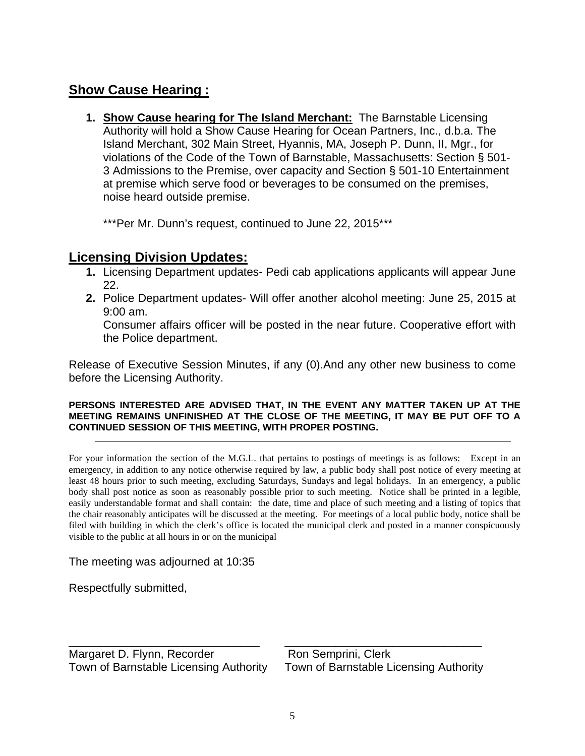# **Show Cause Hearing :**

**1. Show Cause hearing for The Island Merchant:** The Barnstable Licensing Authority will hold a Show Cause Hearing for Ocean Partners, Inc., d.b.a. The Island Merchant, 302 Main Street, Hyannis, MA, Joseph P. Dunn, II, Mgr., for violations of the Code of the Town of Barnstable, Massachusetts: Section § 501- 3 Admissions to the Premise, over capacity and Section § 501-10 Entertainment at premise which serve food or beverages to be consumed on the premises, noise heard outside premise.

\*\*\*Per Mr. Dunn's request, continued to June 22, 2015\*\*\*

## **Licensing Division Updates:**

- **1.** Licensing Department updates- Pedi cab applications applicants will appear June 22.
- **2.** Police Department updates- Will offer another alcohol meeting: June 25, 2015 at 9:00 am.

Consumer affairs officer will be posted in the near future. Cooperative effort with the Police department.

Release of Executive Session Minutes, if any (0).And any other new business to come before the Licensing Authority.

#### **PERSONS INTERESTED ARE ADVISED THAT, IN THE EVENT ANY MATTER TAKEN UP AT THE MEETING REMAINS UNFINISHED AT THE CLOSE OF THE MEETING, IT MAY BE PUT OFF TO A CONTINUED SESSION OF THIS MEETING, WITH PROPER POSTING.**

For your information the section of the M.G.L. that pertains to postings of meetings is as follows: Except in an emergency, in addition to any notice otherwise required by law, a public body shall post notice of every meeting at least 48 hours prior to such meeting, excluding Saturdays, Sundays and legal holidays. In an emergency, a public body shall post notice as soon as reasonably possible prior to such meeting. Notice shall be printed in a legible, easily understandable format and shall contain: the date, time and place of such meeting and a listing of topics that the chair reasonably anticipates will be discussed at the meeting. For meetings of a local public body, notice shall be filed with building in which the clerk's office is located the municipal clerk and posted in a manner conspicuously visible to the public at all hours in or on the municipal

The meeting was adjourned at 10:35

Respectfully submitted,

\_\_\_\_\_\_\_\_\_\_\_\_\_\_\_\_\_\_\_\_\_\_\_\_\_\_\_\_\_\_ \_\_\_\_\_\_\_\_\_\_\_\_\_\_\_\_\_\_\_\_\_\_\_\_\_\_\_\_\_\_\_ Margaret D. Flynn, Recorder Ron Semprini, Clerk Town of Barnstable Licensing Authority Town of Barnstable Licensing Authority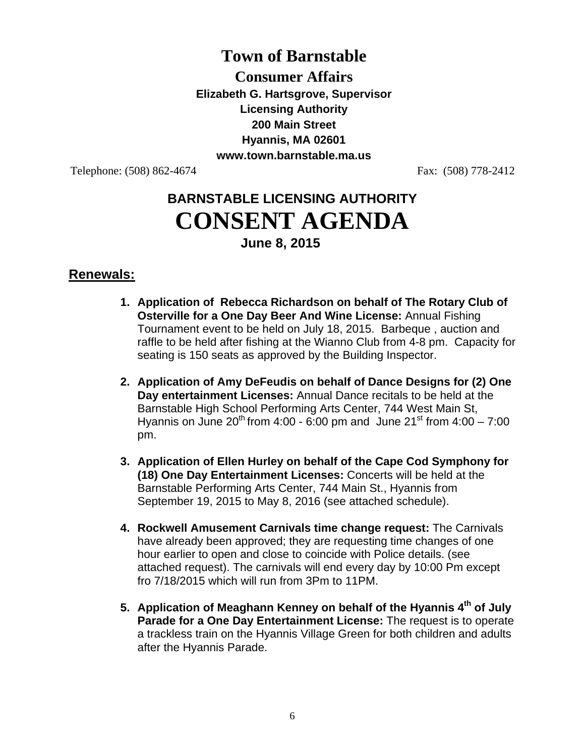# **Town of Barnstable**

**Consumer Affairs Elizabeth G. Hartsgrove, Supervisor Licensing Authority 200 Main Street Hyannis, MA 02601 www.town.barnstable.ma.us** 

Telephone: (508) 862-4674 Fax: (508) 778-2412

# **BARNSTABLE LICENSING AUTHORITY CONSENT AGENDA June 8, 2015**

## **Renewals:**

- **1. Application of Rebecca Richardson on behalf of The Rotary Club of Osterville for a One Day Beer And Wine License:** Annual Fishing Tournament event to be held on July 18, 2015. Barbeque , auction and raffle to be held after fishing at the Wianno Club from 4-8 pm. Capacity for seating is 150 seats as approved by the Building Inspector.
- **2. Application of Amy DeFeudis on behalf of Dance Designs for (2) One Day entertainment Licenses:** Annual Dance recitals to be held at the Barnstable High School Performing Arts Center, 744 West Main St, Hyannis on June 20<sup>th</sup> from 4:00 - 6:00 pm and June 21<sup>st</sup> from 4:00 - 7:00 pm.
- **3. Application of Ellen Hurley on behalf of the Cape Cod Symphony for (18) One Day Entertainment Licenses:** Concerts will be held at the Barnstable Performing Arts Center, 744 Main St., Hyannis from September 19, 2015 to May 8, 2016 (see attached schedule).
- **4. Rockwell Amusement Carnivals time change request:** The Carnivals have already been approved; they are requesting time changes of one hour earlier to open and close to coincide with Police details. (see attached request). The carnivals will end every day by 10:00 Pm except fro 7/18/2015 which will run from 3Pm to 11PM.
- **5. Application of Meaghann Kenney on behalf of the Hyannis 4th of July Parade for a One Day Entertainment License:** The request is to operate a trackless train on the Hyannis Village Green for both children and adults after the Hyannis Parade.